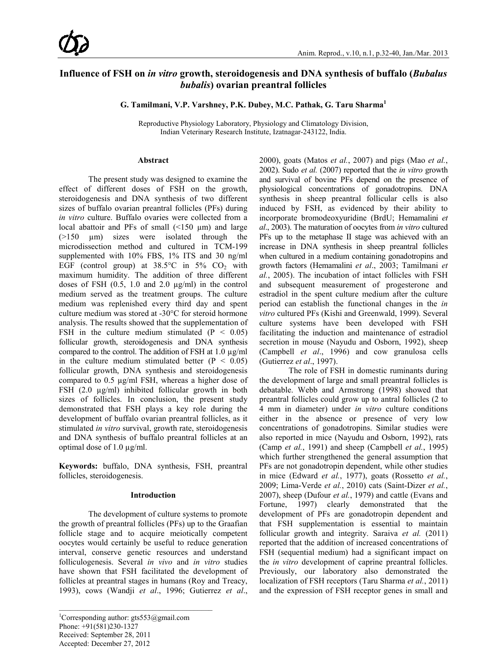# **Influence of FSH on** *in vitro* **growth, steroidogenesis and DNA synthesis of buffalo (***Bubalus bubalis***) ovarian preantral follicles**

**G. Tamilmani, V.P. Varshney, P.K. Dubey, M.C. Pathak, G. Taru Sharma<sup>1</sup>**

Reproductive Physiology Laboratory, Physiology and Climatology Division, Indian Veterinary Research Institute, Izatnagar-243122, India.

#### **Abstract**

The present study was designed to examine the effect of different doses of FSH on the growth, steroidogenesis and DNA synthesis of two different sizes of buffalo ovarian preantral follicles (PFs) during *in vitro* culture. Buffalo ovaries were collected from a local abattoir and PFs of small  $(\leq 150 \mu m)$  and large  $(>150 \text{ nm})$  sizes were isolated through the microdissection method and cultured in TCM-199 supplemented with 10% FBS, 1% ITS and 30 ng/ml EGF (control group) at  $38.5^{\circ}$ C in  $5\%$  CO<sub>2</sub> with maximum humidity. The addition of three different doses of FSH (0.5, 1.0 and 2.0 µg/ml) in the control medium served as the treatment groups. The culture medium was replenished every third day and spent culture medium was stored at -30°C for steroid hormone analysis. The results showed that the supplementation of FSH in the culture medium stimulated  $(P < 0.05)$ follicular growth, steroidogenesis and DNA synthesis compared to the control. The addition of FSH at 1.0 µg/ml in the culture medium stimulated better  $(P < 0.05)$ follicular growth, DNA synthesis and steroidogenesis compared to 0.5 µg/ml FSH, whereas a higher dose of FSH (2.0 µg/ml) inhibited follicular growth in both sizes of follicles. In conclusion, the present study demonstrated that FSH plays a key role during the development of buffalo ovarian preantral follicles, as it stimulated *in vitro* survival, growth rate, steroidogenesis and DNA synthesis of buffalo preantral follicles at an optimal dose of 1.0 µg/ml.

**Keywords:** buffalo, DNA synthesis, FSH, preantral follicles, steroidogenesis.

#### **Introduction**

The development of culture systems to promote the growth of preantral follicles (PFs) up to the Graafian follicle stage and to acquire meiotically competent oocytes would certainly be useful to reduce generation interval, conserve genetic resources and understand folliculogenesis. Several *in vivo* and *in vitro* studies have shown that FSH facilitated the development of follicles at preantral stages in humans (Roy and Treacy, 1993), cows (Wandji *et al*., 1996; Gutierrez *et al*.,

2000), goats (Matos *et al.*, 2007) and pigs (Mao *et al.*, 2002). Sudo *et al.* (2007) reported that the *in vitro* growth and survival of bovine PFs depend on the presence of physiological concentrations of gonadotropins. DNA synthesis in sheep preantral follicular cells is also induced by FSH, as evidenced by their ability to incorporate bromodeoxyuridine (BrdU; Hemamalini *et al*., 2003). The maturation of oocytes from *in vitro* cultured PFs up to the metaphase II stage was achieved with an increase in DNA synthesis in sheep preantral follicles when cultured in a medium containing gonadotropins and growth factors (Hemamalini *et al*., 2003; Tamilmani *et al.*, 2005). The incubation of intact follicles with FSH and subsequent measurement of progesterone and estradiol in the spent culture medium after the culture period can establish the functional changes in the *in vitro* cultured PFs (Kishi and Greenwald, 1999). Several culture systems have been developed with FSH facilitating the induction and maintenance of estradiol secretion in mouse (Nayudu and Osborn, 1992), sheep (Campbell *et al*., 1996) and cow granulosa cells (Gutierrez *et al*., 1997).

The role of FSH in domestic ruminants during the development of large and small preantral follicles is debatable. Webb and Armstrong (1998) showed that preantral follicles could grow up to antral follicles (2 to 4 mm in diameter) under *in vitro* culture conditions either in the absence or presence of very low concentrations of gonadotropins. Similar studies were also reported in mice (Nayudu and Osborn, 1992), rats (Camp *et al.*, 1991) and sheep (Campbell *et al.*, 1995) which further strengthened the general assumption that PFs are not gonadotropin dependent, while other studies in mice (Edward *et al.*, 1977), goats (Rossetto *et al.*, 2009; Lima-Verde *et al.*, 2010) cats (Saint-Dizer *et al.*, 2007), sheep (Dufour *et al.*, 1979) and cattle (Evans and Fortune, 1997) clearly demonstrated that the development of PFs are gonadotropin dependent and that FSH supplementation is essential to maintain follicular growth and integrity. Saraiva *et al.* (2011) reported that the addition of increased concentrations of FSH (sequential medium) had a significant impact on the *in vitro* development of caprine preantral follicles. Previously, our laboratory also demonstrated the localization of FSH receptors (Taru Sharma *et al.*, 2011) and the expression of FSH receptor genes in small and

<sup>&</sup>lt;sup>1</sup>Corresponding author: gts553@gmail.com Phone: +91(581)230-1327 Received: September 28, 2011 Accepted: December 27, 2012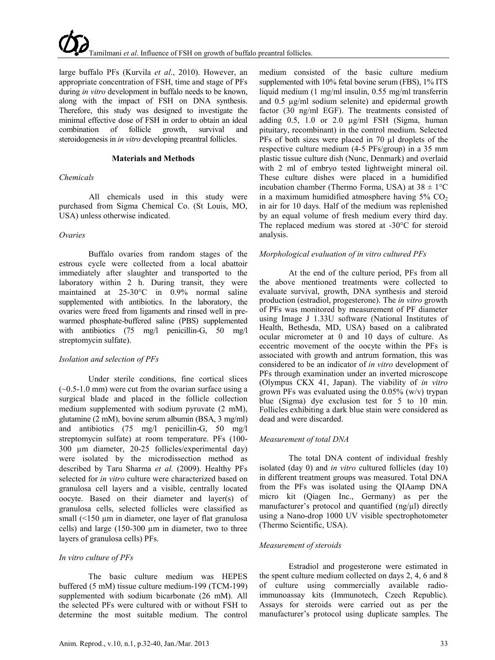large buffalo PFs (Kurvila *et al*., 2010). However, an appropriate concentration of FSH, time and stage of PFs during *in vitro* development in buffalo needs to be known, along with the impact of FSH on DNA synthesis. Therefore, this study was designed to investigate the minimal effective dose of FSH in order to obtain an ideal combination of follicle growth, survival and steroidogenesis in *in vitro* developing preantral follicles.

#### **Materials and Methods**

## *Chemicals*

All chemicals used in this study were purchased from Sigma Chemical Co. (St Louis, MO, USA) unless otherwise indicated.

## *Ovaries*

Buffalo ovaries from random stages of the estrous cycle were collected from a local abattoir immediately after slaughter and transported to the laboratory within 2 h. During transit, they were maintained at 25-30°C in 0.9% normal saline supplemented with antibiotics. In the laboratory, the ovaries were freed from ligaments and rinsed well in prewarmed phosphate-buffered saline (PBS) supplemented with antibiotics (75 mg/l penicillin-G, 50 mg/l streptomycin sulfate).

## *Isolation and selection of PFs*

Under sterile conditions, fine cortical slices  $(-0.5-1.0 \text{ mm})$  were cut from the ovarian surface using a surgical blade and placed in the follicle collection medium supplemented with sodium pyruvate (2 mM), glutamine (2 mM), bovine serum albumin (BSA, 3 mg/ml) and antibiotics (75 mg/l penicillin-G, 50 mg/l streptomycin sulfate) at room temperature. PFs (100- 300 µm diameter, 20-25 follicles/experimental day) were isolated by the microdissection method as described by Taru Sharma *et al.* (2009). Healthy PFs selected for *in vitro* culture were characterized based on granulosa cell layers and a visible, centrally located oocyte. Based on their diameter and layer(s) of granulosa cells, selected follicles were classified as small (<150 µm in diameter, one layer of flat granulosa cells) and large (150-300 µm in diameter, two to three layers of granulosa cells) PFs.

## *In vitro culture of PFs*

The basic culture medium was HEPES buffered (5 mM) tissue culture medium-199 (TCM-199) supplemented with sodium bicarbonate (26 mM). All the selected PFs were cultured with or without FSH to determine the most suitable medium. The control

medium consisted of the basic culture medium supplemented with 10% fetal bovine serum (FBS), 1% ITS liquid medium (1 mg/ml insulin, 0.55 mg/ml transferrin and 0.5 µg/ml sodium selenite) and epidermal growth factor (30 ng/ml EGF). The treatments consisted of adding 0.5, 1.0 or 2.0 µg/ml FSH (Sigma, human pituitary, recombinant) in the control medium. Selected PFs of both sizes were placed in 70 µl droplets of the respective culture medium (4-5 PFs/group) in a 35 mm plastic tissue culture dish (Nunc, Denmark) and overlaid with 2 ml of embryo tested lightweight mineral oil. These culture dishes were placed in a humidified incubation chamber (Thermo Forma, USA) at  $38 \pm 1^{\circ}$ C in a maximum humidified atmosphere having  $5\%$  CO<sub>2</sub> in air for 10 days. Half of the medium was replenished by an equal volume of fresh medium every third day. The replaced medium was stored at -30°C for steroid analysis.

## *Morphological evaluation of in vitro cultured PFs*

At the end of the culture period, PFs from all the above mentioned treatments were collected to evaluate survival, growth, DNA synthesis and steroid production (estradiol, progesterone). The *in vitro* growth of PFs was monitored by measurement of PF diameter using Image J 1.33U software (National Institutes of Health, Bethesda, MD, USA) based on a calibrated ocular micrometer at 0 and 10 days of culture. As eccentric movement of the oocyte within the PFs is associated with growth and antrum formation, this was considered to be an indicator of *in vitro* development of PFs through examination under an inverted microscope (Olympus CKX 41, Japan). The viability of *in vitro* grown PFs was evaluated using the  $0.05\%$  (w/v) trypan blue (Sigma) dye exclusion test for 5 to 10 min. Follicles exhibiting a dark blue stain were considered as dead and were discarded.

## *Measurement of total DNA*

The total DNA content of individual freshly isolated (day 0) and *in vitro* cultured follicles (day 10) in different treatment groups was measured. Total DNA from the PFs was isolated using the QIAamp DNA micro kit (Qiagen Inc., Germany) as per the manufacturer's protocol and quantified (ng/µl) directly using a Nano-drop 1000 UV visible spectrophotometer (Thermo Scientific, USA).

## *Measurement of steroids*

Estradiol and progesterone were estimated in the spent culture medium collected on days 2, 4, 6 and 8 of culture using commercially available radioimmunoassay kits (Immunotech, Czech Republic). Assays for steroids were carried out as per the manufacturer's protocol using duplicate samples. The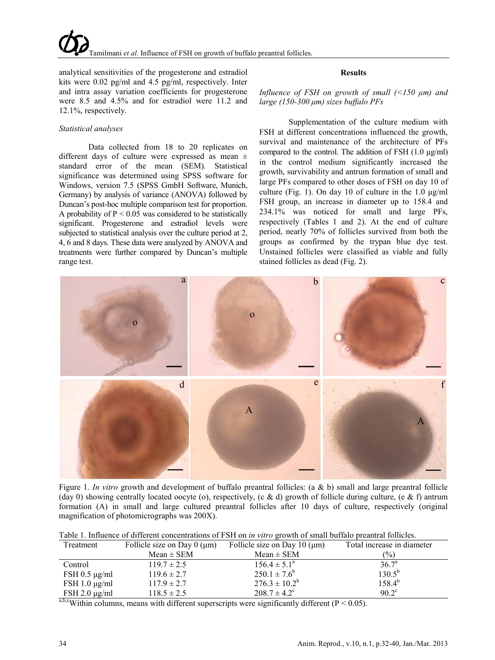analytical sensitivities of the progesterone and estradiol kits were 0.02 pg/ml and 4.5 pg/ml, respectively. Inter and intra assay variation coefficients for progesterone were 8.5 and 4.5% and for estradiol were 11.2 and 12.1%, respectively.

### *Statistical analyses*

Data collected from 18 to 20 replicates on different days of culture were expressed as mean  $\pm$ standard error of the mean (SEM). Statistical significance was determined using SPSS software for Windows, version 7.5 (SPSS GmbH Software, Munich, Germany) by analysis of variance (ANOVA) followed by Duncan's post-hoc multiple comparison test for proportion. A probability of  $P \le 0.05$  was considered to be statistically significant. Progesterone and estradiol levels were subjected to statistical analysis over the culture period at 2, 4, 6 and 8 days. These data were analyzed by ANOVA and treatments were further compared by Duncan's multiple range test.

### **Results**

*Influence of FSH on growth of small (<150 μm) and large (150-300 μm) sizes buffalo PFs*

Supplementation of the culture medium with FSH at different concentrations influenced the growth, survival and maintenance of the architecture of PFs compared to the control. The addition of FSH (1.0 μg/ml) in the control medium significantly increased the growth, survivability and antrum formation of small and large PFs compared to other doses of FSH on day 10 of culture (Fig. 1). On day 10 of culture in the 1.0 μg/ml FSH group, an increase in diameter up to 158.4 and 234.1% was noticed for small and large PFs, respectively (Tables 1 and 2). At the end of culture period, nearly 70% of follicles survived from both the groups as confirmed by the trypan blue dye test. Unstained follicles were classified as viable and fully stained follicles as dead (Fig. 2).



Figure 1. *In vitro* growth and development of buffalo preantral follicles: (a & b) small and large preantral follicle (day 0) showing centrally located oocyte (o), respectively, (c & d) growth of follicle during culture, (e & f) antrum formation (A) in small and large cultured preantral follicles after 10 days of culture, respectively (original magnification of photomicrographs was 200X).

| Treatment                  | Follicle size on Day $0 \, (\mu m)$ | Follicle size on Day 10 $(\mu m)$ | Total increase in diameter |
|----------------------------|-------------------------------------|-----------------------------------|----------------------------|
|                            | $Mean \pm SEM$                      | $Mean \pm SEM$                    | $\frac{1}{2}$              |
| Control                    | $119.7 \pm 2.5$                     | $156.4 \pm 5.1^{\circ}$           | $36.7^{\circ}$             |
| $FSH$ 0.5 $\mu$ g/ml       | $119.6 \pm 2.7$                     | $250.1 \pm 7.6^b$                 | $130.5^{b}$                |
| $FSH 1.0 \mu g/ml$         | $117.9 \pm 2.7$                     | $276.3 \pm 10.2^b$                | $158.4^{b}$                |
| $FSH 2.0 \mu g/ml$<br>$ -$ | $118.5 \pm 2.5$                     | $208.7 \pm 4.2^{\circ}$           | $90.2^{\circ}$             |

Table 1. Influence of different concentrations of FSH on *in vitro* growth of small buffalo preantral follicles.

 $a,b,c$ Within columns, means with different superscripts were significantly different ( $P < 0.05$ ).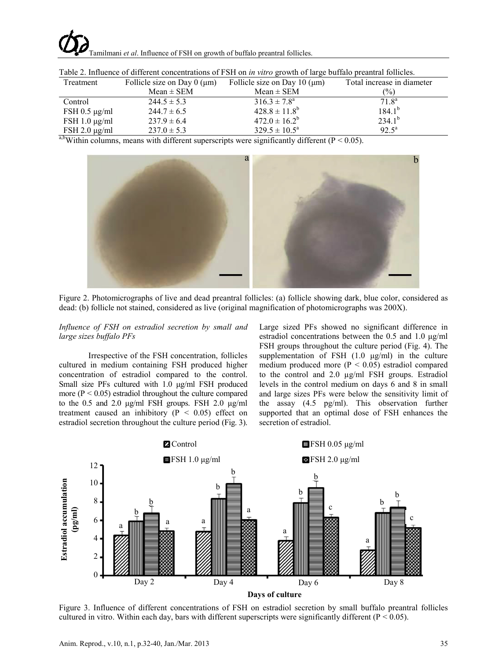

| Table 2. Influence of unferent concentrations of FSH on <i>in ville</i> growth of large barrare preamful follows. |                                     |                                   |                            |  |  |  |  |
|-------------------------------------------------------------------------------------------------------------------|-------------------------------------|-----------------------------------|----------------------------|--|--|--|--|
| Treatment                                                                                                         | Follicle size on Day $0 \, (\mu m)$ | Follicle size on Day 10 $(\mu m)$ | Total increase in diameter |  |  |  |  |
|                                                                                                                   | $Mean \pm SEM$                      | $Mean \pm SEM$                    | $\binom{0}{0}$             |  |  |  |  |
| Control                                                                                                           | $244.5 \pm 5.3$                     | $316.3 \pm 7.8^{\circ}$           | $71.8^{\rm a}$             |  |  |  |  |
| $FSH$ 0.5 $\mu$ g/ml                                                                                              | $244.7 \pm 6.5$                     | $428.8 \pm 11.8^b$                | $184.1^{b}$                |  |  |  |  |
| FSH $1.0 \mu g/ml$                                                                                                | $237.9 \pm 6.4$                     | $472.0 \pm 16.2^b$                | $234.1^{b}$                |  |  |  |  |
| $FSH 2.0 \mu g/ml$                                                                                                | $237.0 \pm 5.3$                     | $329.5 \pm 10.5^{\circ}$          | $92.5^{\rm a}$             |  |  |  |  |

Table 2. Influence of different concentrations of FSH on *in vitro* growth of large buffalo preantral follicles.

a,bWithin columns, means with different superscripts were significantly different ( $P < 0.05$ ).



Figure 2. Photomicrographs of live and dead preantral follicles: (a) follicle showing dark, blue color, considered as dead: (b) follicle not stained, considered as live (original magnification of photomicrographs was 200X).

*Influence of FSH on estradiol secretion by small and large sizes buffalo PFs*

Irrespective of the FSH concentration, follicles cultured in medium containing FSH produced higher concentration of estradiol compared to the control. Small size PFs cultured with 1.0 μg/ml FSH produced more  $(P < 0.05)$  estradiol throughout the culture compared to the 0.5 and 2.0 μg/ml FSH groups. FSH 2.0 μg/ml treatment caused an inhibitory ( $P < 0.05$ ) effect on estradiol secretion throughout the culture period (Fig. 3).

Large sized PFs showed no significant difference in estradiol concentrations between the 0.5 and 1.0 μg/ml FSH groups throughout the culture period (Fig. 4). The supplementation of FSH  $(1.0 \mu g/ml)$  in the culture medium produced more  $(P < 0.05)$  estradiol compared to the control and 2.0 µg/ml FSH groups. Estradiol levels in the control medium on days 6 and 8 in small and large sizes PFs were below the sensitivity limit of the assay (4.5 pg/ml). This observation further supported that an optimal dose of FSH enhances the secretion of estradiol.



Figure 3. Influence of different concentrations of FSH on estradiol secretion by small buffalo preantral follicles cultured in vitro. Within each day, bars with different superscripts were significantly different ( $P < 0.05$ ).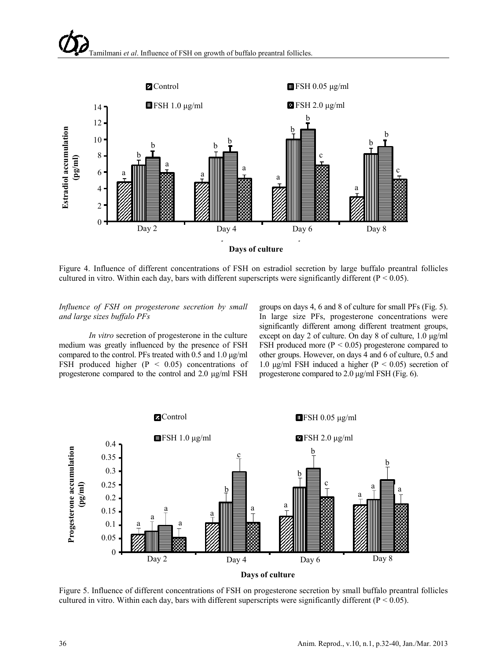

Figure 4. Influence of different concentrations of FSH on estradiol secretion by large buffalo preantral follicles cultured in vitro. Within each day, bars with different superscripts were significantly different ( $P < 0.05$ ).

### *Influence of FSH on progesterone secretion by small and large sizes buffalo PFs*

*In vitro* secretion of progesterone in the culture medium was greatly influenced by the presence of FSH compared to the control. PFs treated with 0.5 and 1.0 μg/ml FSH produced higher  $(P < 0.05)$  concentrations of progesterone compared to the control and 2.0 μg/ml FSH

groups on days 4, 6 and 8 of culture for small PFs (Fig. 5). In large size PFs, progesterone concentrations were significantly different among different treatment groups, except on day 2 of culture. On day 8 of culture, 1.0 μg/ml FSH produced more  $(P < 0.05)$  progesterone compared to other groups. However, on days 4 and 6 of culture, 0.5 and 1.0 μg/ml FSH induced a higher (P < 0.05) secretion of progesterone compared to 2.0 μg/ml FSH (Fig. 6).



Figure 5. Influence of different concentrations of FSH on progesterone secretion by small buffalo preantral follicles cultured in vitro. Within each day, bars with different superscripts were significantly different ( $P < 0.05$ ).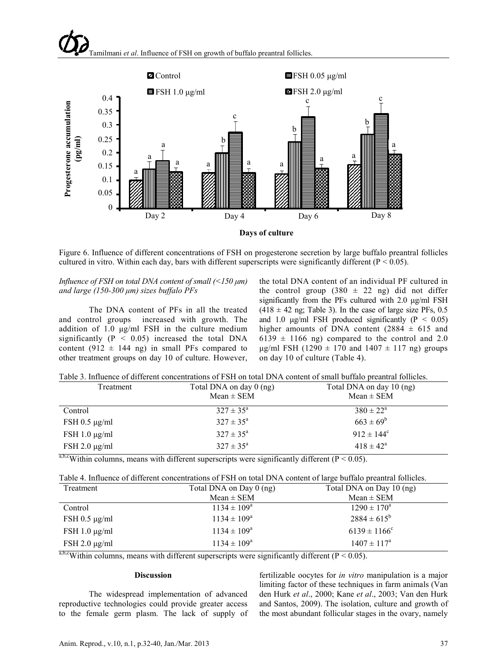

Figure 6. Influence of different concentrations of FSH on progesterone secretion by large buffalo preantral follicles cultured in vitro. Within each day, bars with different superscripts were significantly different ( $P < 0.05$ ).

### *Influence of FSH on total DNA content of small (<150 μm) and large (150-300 μm) sizes buffalo PFs*

The DNA content of PFs in all the treated and control groups increased with growth. The addition of 1.0 μg/ml FSH in the culture medium significantly ( $P < 0.05$ ) increased the total DNA content (912  $\pm$  144 ng) in small PFs compared to other treatment groups on day 10 of culture. However, the total DNA content of an individual PF cultured in the control group  $(380 \pm 22 \text{ ng})$  did not differ significantly from the PFs cultured with 2.0 μg/ml FSH  $(418 \pm 42 \text{ ng})$ ; Table 3). In the case of large size PFs, 0.5 and 1.0  $\mu$ g/ml FSH produced significantly (P < 0.05) higher amounts of DNA content  $(2884 \pm 615)$  and  $6139 \pm 1166$  ng) compared to the control and 2.0 μg/ml FSH (1290  $\pm$  170 and 1407  $\pm$  117 ng) groups on day 10 of culture (Table 4).

|  |  |  | Table 3. Influence of different concentrations of FSH on total DNA content of small buffalo preantral follicles. |  |  |
|--|--|--|------------------------------------------------------------------------------------------------------------------|--|--|
|--|--|--|------------------------------------------------------------------------------------------------------------------|--|--|

| Treatment                     | Total DNA on day 0 (ng)<br>$Mean \pm SEM$ | Total DNA on day 10 (ng)<br>$Mean \pm SEM$ |  |  |
|-------------------------------|-------------------------------------------|--------------------------------------------|--|--|
| Control                       | $327 \pm 35^{\circ}$                      | $380 \pm 22^{\circ}$                       |  |  |
| $FSH$ 0.5 $\mu$ g/ml          | $327 \pm 35^{\circ}$                      | $663 \pm 69^b$                             |  |  |
| $FSH 1.0 \mu g/ml$            | $327 \pm 35^{\circ}$                      | $912 \pm 144$ <sup>c</sup>                 |  |  |
| $FSH 2.0 \mu g/ml$            | $327 \pm 35^{\circ}$                      | $418 \pm 42^{\circ}$                       |  |  |
| $ab$ <sub>2</sub> $c$ $c$ $c$ |                                           |                                            |  |  |

a,b,cWithin columns, means with different superscripts were significantly different ( $P < 0.05$ ).

|  | Table 4. Influence of different concentrations of FSH on total DNA content of large buffalo preantral follicles. |  |  |  |  |
|--|------------------------------------------------------------------------------------------------------------------|--|--|--|--|
|  |                                                                                                                  |  |  |  |  |

| Treatment            | Total DNA on Day $0$ (ng) | Total DNA on Day 10 (ng) |
|----------------------|---------------------------|--------------------------|
|                      | $Mean \pm SEM$            | $Mean \pm SEM$           |
| Control              | $1134 \pm 109^{\circ}$    | $1290 \pm 170^{\circ}$   |
| $FSH$ 0.5 $\mu$ g/ml | $1134 \pm 109^{\circ}$    | $2884 \pm 615^b$         |
| FSH $1.0 \mu g/ml$   | $1134 \pm 109^{\rm a}$    | $6139 \pm 1166^{\circ}$  |
| $FSH 2.0 \mu g/ml$   | $1134 \pm 109^{\circ}$    | $1407 \pm 117^{\circ}$   |

 $a,b,c$ Within columns, means with different superscripts were significantly different (P < 0.05).

#### **Discussion**

The widespread implementation of advanced reproductive technologies could provide greater access to the female germ plasm. The lack of supply of fertilizable oocytes for *in vitro* manipulation is a major limiting factor of these techniques in farm animals (Van den Hurk *et al*., 2000; Kane *et al*., 2003; Van den Hurk and Santos, 2009). The isolation, culture and growth of the most abundant follicular stages in the ovary, namely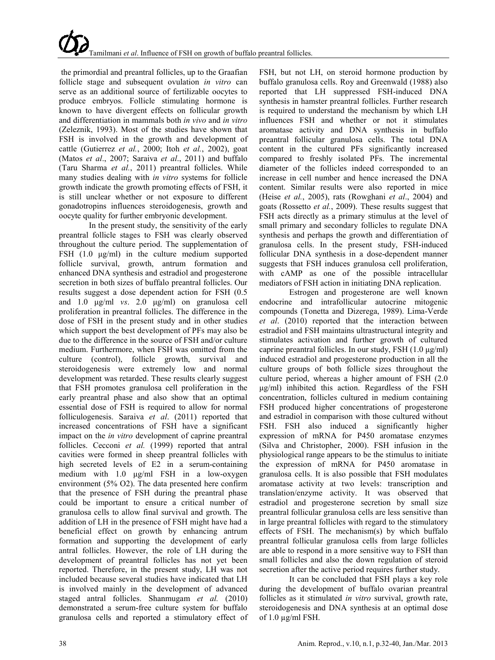the primordial and preantral follicles, up to the Graafian follicle stage and subsequent ovulation *in vitro* can serve as an additional source of fertilizable oocytes to produce embryos. Follicle stimulating hormone is known to have divergent effects on follicular growth and differentiation in mammals both *in vivo* and *in vitro* (Zeleznik, 1993). Most of the studies have shown that FSH is involved in the growth and development of cattle (Gutierrez *et al.*, 2000; Itoh *et al.*, 2002), goat (Matos *et al*., 2007; Saraiva *et al*., 2011) and buffalo (Taru Sharma *et al.*, 2011) preantral follicles. While many studies dealing with *in vitro* systems for follicle growth indicate the growth promoting effects of FSH, it is still unclear whether or not exposure to different gonadotropins influences steroidogenesis, growth and oocyte quality for further embryonic development.

In the present study, the sensitivity of the early preantral follicle stages to FSH was clearly observed throughout the culture period. The supplementation of FSH (1.0 μg/ml) in the culture medium supported follicle survival, growth, antrum formation and enhanced DNA synthesis and estradiol and progesterone secretion in both sizes of buffalo preantral follicles. Our results suggest a dose dependent action for FSH (0.5 and 1.0 μg/ml *vs*. 2.0 μg/ml) on granulosa cell proliferation in preantral follicles. The difference in the dose of FSH in the present study and in other studies which support the best development of PFs may also be due to the difference in the source of FSH and/or culture medium. Furthermore, when FSH was omitted from the culture (control), follicle growth, survival and steroidogenesis were extremely low and normal development was retarded. These results clearly suggest that FSH promotes granulosa cell proliferation in the early preantral phase and also show that an optimal essential dose of FSH is required to allow for normal folliculogenesis. Saraiva *et al*. (2011) reported that increased concentrations of FSH have a significant impact on the *in vitro* development of caprine preantral follicles. Cecconi et al. (1999) reported that antral cavities were formed in sheep preantral follicles with high secreted levels of E2 in a serum-containing medium with 1.0 μg/ml FSH in a low-oxygen environment (5% O2). The data presented here confirm that the presence of FSH during the preantral phase could be important to ensure a critical number of granulosa cells to allow final survival and growth. The addition of LH in the presence of FSH might have had a beneficial effect on growth by enhancing antrum formation and supporting the development of early antral follicles. However, the role of LH during the development of preantral follicles has not yet been reported. Therefore, in the present study, LH was not included because several studies have indicated that LH is involved mainly in the development of advanced staged antral follicles. Shanmugam *et al.* (2010) demonstrated a serum-free culture system for buffalo granulosa cells and reported a stimulatory effect of

FSH, but not LH, on steroid hormone production by buffalo granulosa cells. Roy and Greenwald (1988) also reported that LH suppressed FSH-induced DNA synthesis in hamster preantral follicles. Further research is required to understand the mechanism by which LH influences FSH and whether or not it stimulates aromatase activity and DNA synthesis in buffalo preantral follicular granulosa cells. The total DNA content in the cultured PFs significantly increased compared to freshly isolated PFs. The incremental diameter of the follicles indeed corresponded to an increase in cell number and hence increased the DNA content. Similar results were also reported in mice (Heise *et al.*, 2005), rats (Rowghani *et al*., 2004) and goats (Rossetto *et al.*, 2009). These results suggest that FSH acts directly as a primary stimulus at the level of small primary and secondary follicles to regulate DNA synthesis and perhaps the growth and differentiation of granulosa cells. In the present study, FSH-induced follicular DNA synthesis in a dose-dependent manner suggests that FSH induces granulosa cell proliferation, with cAMP as one of the possible intracellular mediators of FSH action in initiating DNA replication.

Estrogen and progesterone are well known endocrine and intrafollicular autocrine mitogenic compounds (Tonetta and Dizerega, 1989). Lima-Verde *et al*. (2010) reported that the interaction between estradiol and FSH maintains ultrastructural integrity and stimulates activation and further growth of cultured caprine preantral follicles. In our study, FSH (1.0 μg/ml) induced estradiol and progesterone production in all the culture groups of both follicle sizes throughout the culture period, whereas a higher amount of FSH (2.0 μg/ml) inhibited this action. Regardless of the FSH concentration, follicles cultured in medium containing FSH produced higher concentrations of progesterone and estradiol in comparison with those cultured without FSH. FSH also induced a significantly higher expression of mRNA for P450 aromatase enzymes (Silva and Christopher, 2000). FSH infusion in the physiological range appears to be the stimulus to initiate the expression of mRNA for P450 aromatase in granulosa cells. It is also possible that FSH modulates aromatase activity at two levels: transcription and translation/enzyme activity. It was observed that estradiol and progesterone secretion by small size preantral follicular granulosa cells are less sensitive than in large preantral follicles with regard to the stimulatory effects of FSH. The mechanism(s) by which buffalo preantral follicular granulosa cells from large follicles are able to respond in a more sensitive way to FSH than small follicles and also the down regulation of steroid secretion after the active period requires further study.

It can be concluded that FSH plays a key role during the development of buffalo ovarian preantral follicles as it stimulated *in vitro* survival, growth rate, steroidogenesis and DNA synthesis at an optimal dose of  $1.0 \mu g/ml$  FSH.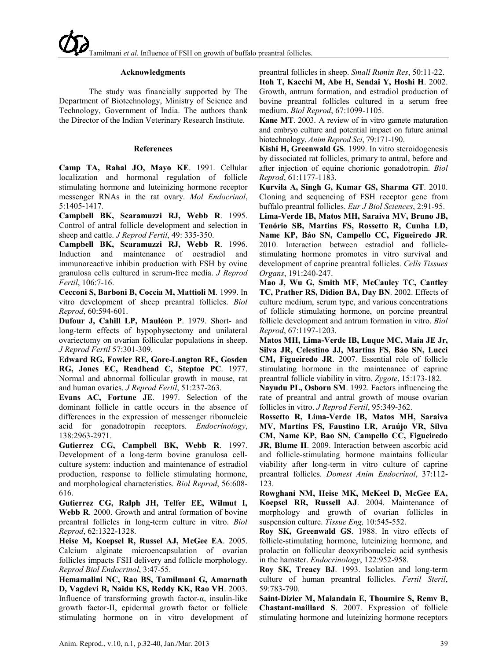#### **Acknowledgments**

The study was financially supported by The Department of Biotechnology, Ministry of Science and Technology, Government of India. The authors thank the Director of the Indian Veterinary Research Institute.

#### **References**

**Camp TA, Rahal JO, Mayo KE**. 1991. Cellular localization and hormonal regulation of follicle stimulating hormone and luteinizing hormone receptor messenger RNAs in the rat ovary. *Mol Endocrinol*, 5:1405-1417.

**Campbell BK, Scaramuzzi RJ, Webb R**. 1995. Control of antral follicle development and selection in sheep and cattle. *J Reprod Fertil*, 49: 335-350.

**Campbell BK, Scaramuzzi RJ, Webb R**. 1996. Induction and maintenance of oestradiol and immunoreactive inhibin production with FSH by ovine granulosa cells cultured in serum-free media. *J Reprod Fertil*, 106:7-16.

**Cecconi S, Barboni B, Coccia M, Mattioli M**. 1999. In vitro development of sheep preantral follicles. *Biol Reprod*, 60:594-601.

**Dufour J, Cahill LP, Mauléon P**. 1979. Short- and long-term effects of hypophysectomy and unilateral ovariectomy on ovarian follicular populations in sheep. *J Reprod Fertil* 57:301-309.

**Edward RG, Fowler RE, Gore-Langton RE, Gosden RG, Jones EC, Readhead C, Steptoe PC**. 1977. Normal and abnormal follicular growth in mouse, rat and human ovaries. *J Reprod Fertil*, 51:237-263.

**Evans AC, Fortune JE**. 1997. Selection of the dominant follicle in cattle occurs in the absence of differences in the expression of messenger ribonucleic acid for gonadotropin receptors. *Endocrinology*, 138:2963-2971.

**Gutierrez CG, Campbell BK, Webb R**. 1997. Development of a long-term bovine granulosa cellculture system: induction and maintenance of estradiol production, response to follicle stimulating hormone, and morphological characteristics. *Biol Reprod*, 56:608- 616.

**Gutierrez CG, Ralph JH, Telfer EE, Wilmut I, Webb R**. 2000. Growth and antral formation of bovine preantral follicles in long-term culture in vitro. *Biol Reprod*, 62:1322-1328.

**Heise M, Koepsel R, Russel AJ, McGee EA**. 2005. Calcium alginate microencapsulation of ovarian follicles impacts FSH delivery and follicle morphology. *Reprod Biol Endocrinol*, 3:47-55.

**Hemamalini NC, Rao BS, Tamilmani G, Amarnath D, Vagdevi R, Naidu KS, Reddy KK, Rao VH**. 2003. Influence of transforming growth factor-α, insulin-like growth factor-II, epidermal growth factor or follicle stimulating hormone on in vitro development of preantral follicles in sheep. *Small Rumin Res*, 50:11-22.

**Itoh T, Kacchi M, Abe H, Sendai Y, Hoshi H**. 2002. Growth, antrum formation, and estradiol production of bovine preantral follicles cultured in a serum free medium. *Biol Reprod*, 67:1099-1105.

**Kane MT**. 2003. A review of in vitro gamete maturation and embryo culture and potential impact on future animal biotechnology. *Anim Reprod Sci*, 79:171-190.

**Kishi H, Greenwald GS**. 1999. In vitro steroidogenesis by dissociated rat follicles, primary to antral, before and after injection of equine chorionic gonadotropin. *Biol Reprod*, 61:1177-1183.

**Kurvila A, Singh G, Kumar GS, Sharma GT**. 2010. Cloning and sequencing of FSH receptor gene from buffalo preantral follicles. *Eur J Biol Sciences*, 2:91-95.

**Lima-Verde IB, Matos MH, Saraiva MV, Bruno JB, Tenório SB, Martins FS, Rossetto R, Cunha LD, Name KP, Báo SN, Campello CC, Figueiredo JR**. 2010. Interaction between estradiol and folliclestimulating hormone promotes in vitro survival and development of caprine preantral follicles. *Cells Tissues Organs*, 191:240-247.

**Mao J, Wu G, Smith MF, McCauley TC, Cantley TC, Prather RS, Didion BA, Day BN**. 2002. Effects of culture medium, serum type, and various concentrations of follicle stimulating hormone, on porcine preantral follicle development and antrum formation in vitro. *Biol Reprod*, 67:1197-1203.

**Matos MH, Lima-Verde IB, Luque MC, Maia JE Jr, Silva JR, Celestino JJ, Martins FS, Báo SN, Lucci CM, Figueiredo JR**. 2007. Essential role of follicle stimulating hormone in the maintenance of caprine preantral follicle viability in vitro. *Zygote*, 15:173-182.

**Nayudu PL, Osborn SM**. 1992. Factors influencing the rate of preantral and antral growth of mouse ovarian follicles in vitro. *J Reprod Fertil*, 95:349-362.

**Rossetto R, Lima-Verde IB, Matos MH, Saraiva MV, Martins FS, Faustino LR, Araújo VR, Silva CM, Name KP, Bao SN, Campello CC, Figueiredo JR, Blume H**. 2009. Interaction between ascorbic acid and follicle-stimulating hormone maintains follicular viability after long-term in vitro culture of caprine preantral follicles. *Domest Anim Endocrinol*, 37:112- 123.

**Rowghani NM, Heise MK, McKeel D, McGee EA, Koepsel RR, Russell AJ**. 2004. Maintenance of morphology and growth of ovarian follicles in suspension culture. *Tissue Eng,* 10:545-552.

**Roy SK, Greenwald GS**. 1988. In vitro effects of follicle-stimulating hormone, luteinizing hormone, and prolactin on follicular deoxyribonucleic acid synthesis in the hamster. *Endocrinology*, 122:952-958.

**Roy SK, Treacy BJ**. 1993. Isolation and long-term culture of human preantral follicles. *Fertil Steril*, 59:783-790.

**Saint-Dizier M, Malandain E, Thoumire S, Remv B, Chastant-maillard S**. 2007. Expression of follicle stimulating hormone and luteinizing hormone receptors